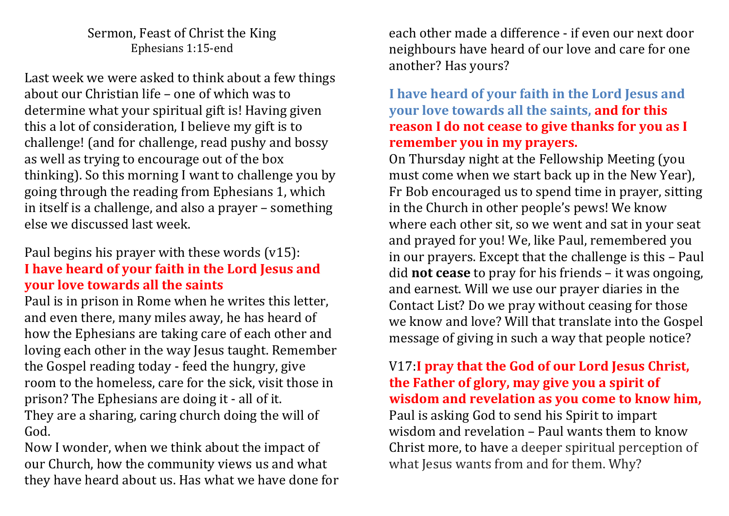#### Sermon, Feast of Christ the King Ephesians 1:15-end

Last week we were asked to think about a few things about our Christian life – one of which was to determine what your spiritual gift is! Having given this a lot of consideration, I believe my gift is to challenge! (and for challenge, read pushy and bossy as well as trying to encourage out of the box thinking). So this morning I want to challenge you by going through the reading from Ephesians 1, which in itself is a challenge, and also a prayer – something else we discussed last week.

### Paul begins his prayer with these words (v15): **I have heard of your faith in the Lord Jesus and your love towards all the saints**

Paul is in prison in Rome when he writes this letter, and even there, many miles away, he has heard of how the Ephesians are taking care of each other and loving each other in the way Jesus taught. Remember the Gospel reading today - feed the hungry, give room to the homeless, care for the sick, visit those in prison? The Ephesians are doing it - all of it. They are a sharing, caring church doing the will of God.

Now I wonder, when we think about the impact of our Church, how the community views us and what they have heard about us. Has what we have done for each other made a difference - if even our next door neighbours have heard of our love and care for one another? Has yours?

#### **I have heard of your faith in the Lord Jesus and your love towards all the saints, and for this reason I do not cease to give thanks for you as I remember you in my prayers.**

On Thursday night at the Fellowship Meeting (you must come when we start back up in the New Year), Fr Bob encouraged us to spend time in prayer, sitting in the Church in other people's pews! We know where each other sit, so we went and sat in your seat and prayed for you! We, like Paul, remembered you in our prayers. Except that the challenge is this – Paul did **not cease** to pray for his friends – it was ongoing, and earnest. Will we use our prayer diaries in the Contact List? Do we pray without ceasing for those we know and love? Will that translate into the Gospel message of giving in such a way that people notice?

### V17:**I pray that the God of our Lord Jesus Christ, the Father of glory, may give you a spirit of wisdom and revelation as you come to know him,**  Paul is asking God to send his Spirit to impart wisdom and revelation – Paul wants them to know Christ more, to have a deeper spiritual perception of what Jesus wants from and for them. Why?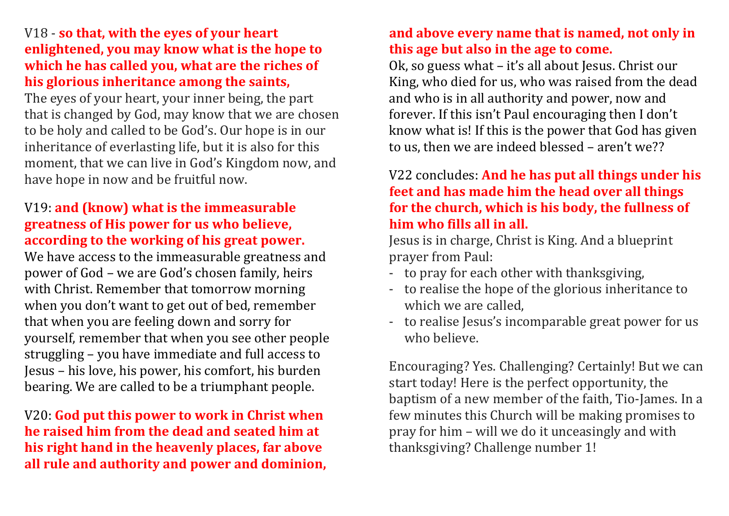### V18 - **so that, with the eyes of your heart enlightened, you may know what is the hope to which he has called you, what are the riches of his glorious inheritance among the saints,**

The eyes of your heart, your inner being, the part that is changed by God, may know that we are chosen to be holy and called to be God's. Our hope is in our inheritance of everlasting life, but it is also for this moment, that we can live in God's Kingdom now, and have hope in now and be fruitful now.

# V19: **and (know) what is the immeasurable greatness of His power for us who believe, according to the working of his great power.**

We have access to the immeasurable greatness and power of God – we are God's chosen family, heirs with Christ. Remember that tomorrow morning when you don't want to get out of bed, remember that when you are feeling down and sorry for yourself, remember that when you see other people struggling – you have immediate and full access to Jesus – his love, his power, his comfort, his burden bearing. We are called to be a triumphant people.

V20: **God put this power to work in Christ when he raised him from the dead and seated him at his right hand in the heavenly places, far above all rule and authority and power and dominion,** 

# **and above every name that is named, not only in this age but also in the age to come.**

Ok, so guess what – it's all about Jesus. Christ our King, who died for us, who was raised from the dead and who is in all authority and power, now and forever. If this isn't Paul encouraging then I don't know what is! If this is the power that God has given to us, then we are indeed blessed – aren't we??

# V22 concludes: **And he has put all things under his feet and has made him the head over all things for the church, which is his body, the fullness of him who fills all in all.**

Jesus is in charge, Christ is King. And a blueprint prayer from Paul:

- to pray for each other with thanksgiving,
- to realise the hope of the glorious inheritance to which we are called,
- to realise Jesus's incomparable great power for us who believe.

Encouraging? Yes. Challenging? Certainly! But we can start today! Here is the perfect opportunity, the baptism of a new member of the faith, Tio-James. In a few minutes this Church will be making promises to pray for him – will we do it unceasingly and with thanksgiving? Challenge number 1!